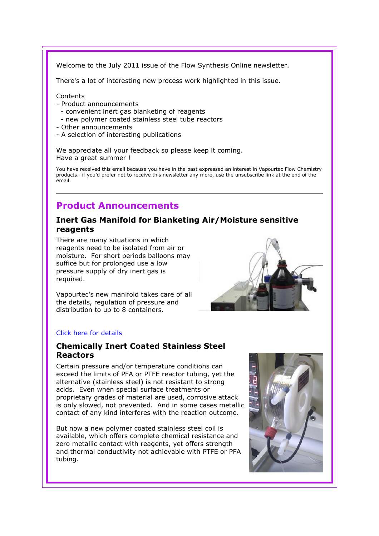Welcome to the July 2011 issue of the Flow Synthesis Online newsletter.

There's a lot of interesting new process work highlighted in this issue.

#### **Contents**

- Product announcements
	- convenient inert gas blanketing of reagents
	- new polymer coated stainless steel tube reactors
- Other announcements
- A selection of interesting publications

We appreciate all your feedback so please keep it coming. Have a great summer !

You have received this email because you have in the past expressed an interest in Vapourtec Flow Chemistry products. if you'd prefer not to receive this newsletter any more, use the unsubscribe link at the end of the email.

# Product Announcements

## Inert Gas Manifold for Blanketing Air/Moisture sensitive reagents

There are many situations in which reagents need to be isolated from air or moisture. For short periods balloons may suffice but for prolonged use a low pressure supply of dry inert gas is required.

Vapourtec's new manifold takes care of all the details, regulation of pressure and distribution to up to 8 containers.



#### Click here for details

## Chemically Inert Coated Stainless Steel Reactors

Certain pressure and/or temperature conditions can exceed the limits of PFA or PTFE reactor tubing, yet the alternative (stainless steel) is not resistant to strong acids. Even when special surface treatments or proprietary grades of material are used, corrosive attack is only slowed, not prevented. And in some cases metallic contact of any kind interferes with the reaction outcome.

But now a new polymer coated stainless steel coil is available, which offers complete chemical resistance and zero metallic contact with reagents, yet offers strength and thermal conductivity not achievable with PTFE or PFA tubing.

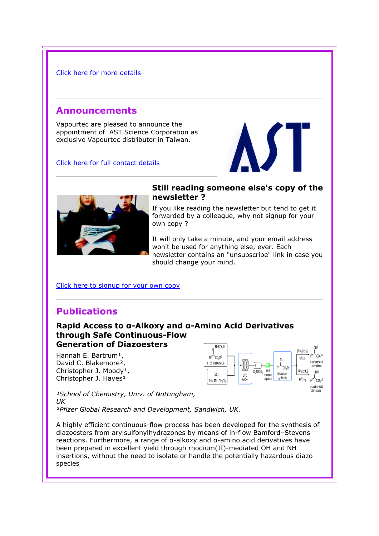#### Click here for more details

## Announcements

Vapourtec are pleased to announce the appointment of AST Science Corporation as exclusive Vapourtec distributor in Taiwan.

Click here for full contact details



## Still reading someone else's copy of the newsletter ?

If you like reading the newsletter but tend to get it forwarded by a colleague, why not signup for your own copy ?

It will only take a minute, and your email address won't be used for anything else, ever. Each newsletter contains an "unsubscribe" link in case you should change your mind.

### Click here to signup for your own copy

# Publications

## Rapid Access to α-Alkoxy and α-Amino Acid Derivatives through Safe Continuous-Flow Generation of Diazoesters

Hannah E. Bartrum<sup>1</sup>, David C. Blakemore<sup>2</sup>, Christopher J. Moody<sup>1</sup>, Christopher J. Hayes<sup>1</sup>



derivatives

<sup>1</sup>School of Chemistry, Univ. of Nottingham, UK ²Pfizer Global Research and Development, Sandwich, UK.

A highly efficient continuous-flow process has been developed for the synthesis of diazoesters from arylsulfonylhydrazones by means of in-flow Bamford–Stevens reactions. Furthermore, a range of α-alkoxy and α-amino acid derivatives have been prepared in excellent yield through rhodium(II)-mediated OH and NH insertions, without the need to isolate or handle the potentially hazardous diazo species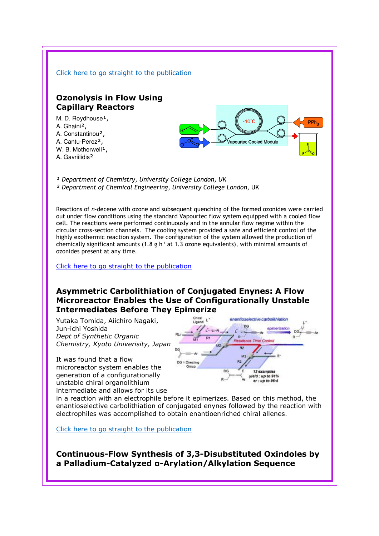

## Asymmetric Carbolithiation of Conjugated Enynes: A Flow Microreactor Enables the Use of Configurationally Unstable Intermediates Before They Epimerize

Yutaka Tomida, Aiichiro Nagaki, Jun-ichi Yoshida Dept of Synthetic Organic Chemistry, Kyoto Univerisity, Japan

It was found that a flow microreactor system enables the generation of a configurationally unstable chiral organolithium intermediate and allows for its use



in a reaction with an electrophile before it epimerizes. Based on this method, the enantioselective carbolithiation of conjugated enynes followed by the reaction with electrophiles was accomplished to obtain enantioenriched chiral allenes.

Click here to go straight to the publication

Continuous-Flow Synthesis of 3,3-Disubstituted Oxindoles by a Palladium-Catalyzed α-Arylation/Alkylation Sequence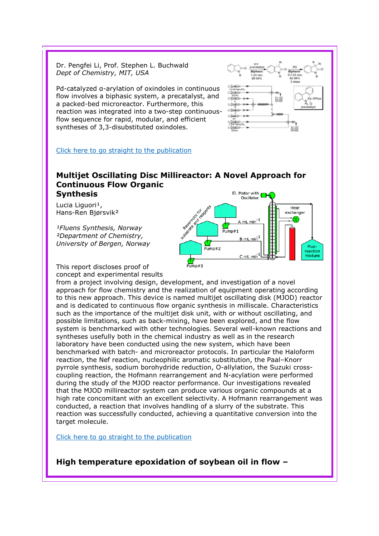Dr. Pengfei Li, Prof. Stephen L. Buchwald Dept of Chemistry, MIT, USA

Pd-catalyzed α-arylation of oxindoles in continuous flow involves a biphasic system, a precatalyst, and a packed-bed microreactor. Furthermore, this reaction was integrated into a two-step continuousflow sequence for rapid, modular, and efficient syntheses of 3,3-disubstituted oxindoles.



#### Click here to go straight to the publication

#### Multijet Oscillating Disc Millireactor: A Novel Approach for Continuous Flow Organic El. Motor with Synthesis

Lucia Liguori<sup>1</sup>, Hans-Ren Bjørsvik²

<sup>1</sup>Fluens Synthesis, Norway ²Department of Chemistry, University of Bergen, Norway



This report discloses proof of concept and experimental results

from a project involving design, development, and investigation of a novel approach for flow chemistry and the realization of equipment operating according to this new approach. This device is named multijet oscillating disk (MJOD) reactor and is dedicated to continuous flow organic synthesis in milliscale. Characteristics such as the importance of the multijet disk unit, with or without oscillating, and possible limitations, such as back-mixing, have been explored, and the flow system is benchmarked with other technologies. Several well-known reactions and syntheses usefully both in the chemical industry as well as in the research laboratory have been conducted using the new system, which have been benchmarked with batch- and microreactor protocols. In particular the Haloform reaction, the Nef reaction, nucleophilic aromatic substitution, the Paal–Knorr pyrrole synthesis, sodium borohydride reduction, O-allylation, the Suzuki crosscoupling reaction, the Hofmann rearrangement and N-acylation were performed during the study of the MJOD reactor performance. Our investigations revealed that the MJOD millireactor system can produce various organic compounds at a high rate concomitant with an excellent selectivity. A Hofmann rearrangement was conducted, a reaction that involves handling of a slurry of the substrate. This reaction was successfully conducted, achieving a quantitative conversion into the target molecule.

Click here to go straight to the publication

High temperature epoxidation of soybean oil in flow –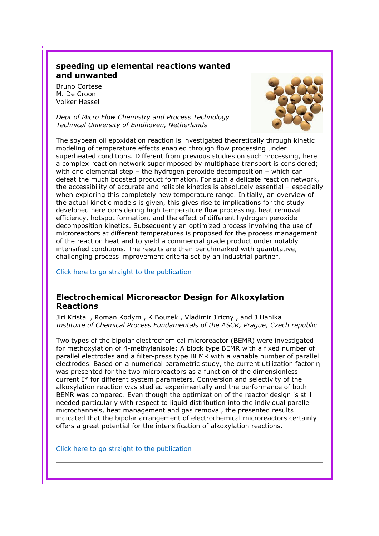## speeding up elemental reactions wanted and unwanted

Bruno Cortese M. De Croon Volker Hessel

Dept of Micro Flow Chemistry and Process Technology Technical University of Eindhoven, Netherlands



The soybean oil epoxidation reaction is investigated theoretically through kinetic modeling of temperature effects enabled through flow processing under superheated conditions. Different from previous studies on such processing, here a complex reaction network superimposed by multiphase transport is considered; with one elemental step – the hydrogen peroxide decomposition – which can defeat the much boosted product formation. For such a delicate reaction network, the accessibility of accurate and reliable kinetics is absolutely essential – especially when exploring this completely new temperature range. Initially, an overview of the actual kinetic models is given, this gives rise to implications for the study developed here considering high temperature flow processing, heat removal efficiency, hotspot formation, and the effect of different hydrogen peroxide decomposition kinetics. Subsequently an optimized process involving the use of microreactors at different temperatures is proposed for the process management of the reaction heat and to yield a commercial grade product under notably intensified conditions. The results are then benchmarked with quantitative, challenging process improvement criteria set by an industrial partner.

Click here to go straight to the publication

## Electrochemical Microreactor Design for Alkoxylation Reactions

Jiri Kristal , Roman Kodym , K Bouzek , Vladimir Jiricny , and J Hanika Instituite of Chemical Process Fundamentals of the ASCR, Prague, Czech republic

Two types of the bipolar electrochemical microreactor (BEMR) were investigated for methoxylation of 4-methylanisole: A block type BEMR with a fixed number of parallel electrodes and a filter-press type BEMR with a variable number of parallel electrodes. Based on a numerical parametric study, the current utilization factor η was presented for the two microreactors as a function of the dimensionless current I\* for different system parameters. Conversion and selectivity of the alkoxylation reaction was studied experimentally and the performance of both BEMR was compared. Even though the optimization of the reactor design is still needed particularly with respect to liquid distribution into the individual parallel microchannels, heat management and gas removal, the presented results indicated that the bipolar arrangement of electrochemical microreactors certainly offers a great potential for the intensification of alkoxylation reactions.

Click here to go straight to the publication